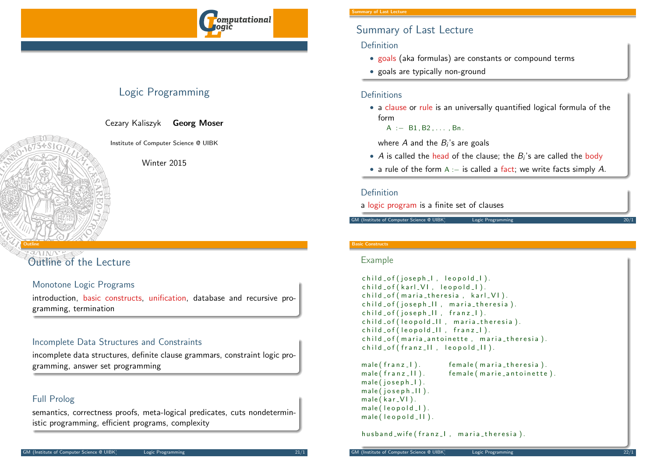**omputational** 

# Logic Programming

Cezary Kaliszyk Georg Moser

Institute of Computer Science @ UIBK

Winter 2015

# <span id="page-0-0"></span>Outline

[Outline](#page-0-0) of the Lecture

## Monotone Logic Programs

introduction, basic constructs, unification, database and recursive programming, termination

## Incomplete Data Structures and Constraints

incomplete data structures, definite clause grammars, constraint logic programming, answer set programming

## Full Prolog

semantics, correctness proofs, meta-logical predicates, cuts nondeterministic programming, efficient programs, complexity

#### mary of Last Lecture

# Summary of Last Lecture

## Definition

- goals (aka formulas) are constants or compound terms
- goals are typically non-ground

#### Definitions

• a clause or rule is an universally quantified logical formula of the form

 $A := B1.B2....Bn$ .

where  $A$  and the  $B_{i}{^{\prime}}$ s are goals

- $\overline{A}$  is called the head of the clause; the  $B_i$ 's are called the body
- a rule of the form A :− is called a fact; we write facts simply A.

### Definition

a logic program is a finite set of clauses

GM (Institute of Computer Science @ UIBK) Logic Programmin

#### Basic Constructs

#### Example

```
child_of(joseph_1, leopold_1).child_of(karl_V1, leopold_l).child of (maria theresia, karl VI).
child of (joseph II, maria theresia).
child_of(ioseph.II, franz.I).child of (leopold II, maria theresia).
child_of(leopold_l], franz_l).
child of (maria antoinette, maria theresia).
child_of(fran z_l II, leopold_l II).
```
 $male(fran z.1).$  female (maria\_theresia). male ( franz II ). female ( marie \_ antoinette ).  $male(joseph_1)$ .  $male(ioseph_1)$ .  $male(kar_V1)$ .  $male ( leopold_1 ).$  $male ( leopold <sub>-</sub> II ).$ 

husband\_wife (franz\_l, maria\_theresia).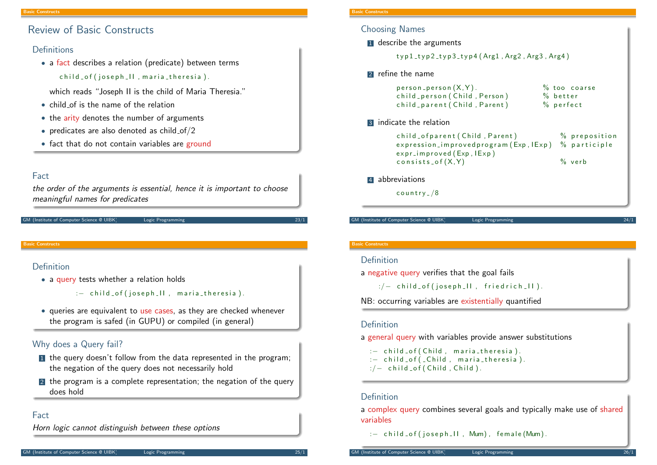# Review of Basic Constructs

#### Definitions

• a fact describes a relation (predicate) between terms child of (joseph II, maria theresia).

which reads "Joseph II is the child of Maria Theresia."

- child of is the name of the relation
- the arity denotes the number of arguments
- predicates are also denoted as child  $of/2$
- fact that do not contain variables are ground

### Fact

the order of the arguments is essential, hence it is important to choose meaningful names for predicates

```
GM (Institute of Computer Science @ UIBK) Logic Programming
```
#### Basic Constructs

### Definition

• a query tests whether a relation holds

```
: - child of (joseph II, maria theresia).
```
• queries are equivalent to use cases, as they are checked whenever the program is safed (in GUPU) or compiled (in general)

## Why does a Query fail?

- In the query doesn't follow from the data represented in the program; the negation of the query does not necessarily hold
- 2 the program is a complete representation; the negation of the query does hold

### Fact

Horn logic cannot distinguish between these options

#### asic Constructs

#### Choosing Names

**1** describe the arguments

 $t$ vp1\_ $t$ vp2\_ $t$ vp3\_ $t$ vp4 (Arg1, Arg2, Arg3, Arg4)

#### **2** refine the name

| $person\_person(X, Y)$ .<br>child_person (Child, Person)<br>child_parent (Child, Parent) | $%$ too coarse<br>$%$ better<br>$%$ perfect |
|------------------------------------------------------------------------------------------|---------------------------------------------|
| 3 indicate the relation                                                                  |                                             |
| child_ofparent (Child, Parent)                                                           | % preposition                               |

 $expression\_\text{improved program}(Exp,IExp)$  % participle  $expr_i$  m proved  $(Exp, IExp)$  $consists_of(X,Y)$  % verb

#### 4 abbreviations

 $country$   $/8$ 

GM (Institute of Computer Science @ UIBK) Logic Programming

#### Basic Constructs

#### Definition

a negative query verifies that the goal fails

 $\therefore$  / - child of (joseph II, fried rich II).

```
NB: occurring variables are existentially quantified
```
#### Definition

a general query with variables provide answer substitutions

: - child of (Child, maria theresia). : - child of ( Child, maria theresia).  $:/-$  child \_of ( Child , Child ).

#### Definition

a complex query combines several goals and typically make use of shared variables

: - child\_of (joseph\_II, Mum), female (Mum).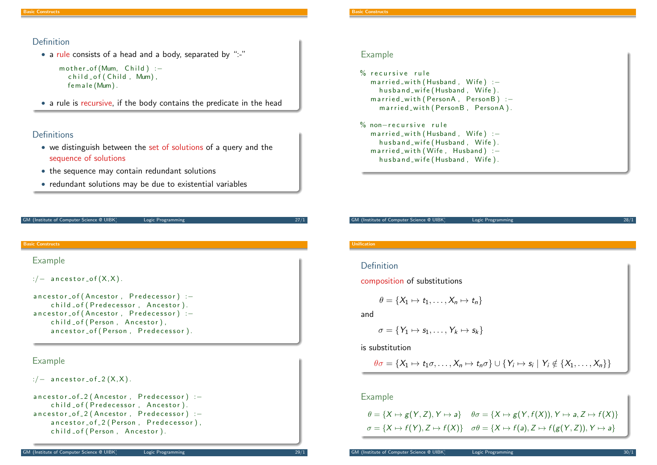#### Definition

• a rule consists of a head and a body, separated by ":-"

```
mother_of (Mum, Child) :-child_of(Cchild, Mum).
  female (Mum).
```
• a rule is recursive, if the body contains the predicate in the head

## **Definitions**

- we distinguish between the set of solutions of a query and the sequence of solutions
- the sequence may contain redundant solutions
- redundant solutions may be due to existential variables

```
GM (Institute of Computer Science @ UIBK) Logic Programming 27/1
```
#### Basic Constructs

#### [Ex](#page-0-0)ample

```
:/- ancestor_of (X,X).
```

```
ancestor_of (Ancestor, Predecessor) :-
    child _ of ( P r e d e c e s s or , Ancestor ).
ancestor_of (Ancestor, Predecessor) :-
    child of (Person, Ancestor).
    ancestor_of (Person, Predecessor).
```
## Example

 $:/-$  ancestor\_of\_2  $(X, X)$ .

```
ancestor_of_2 (Ancestor, Predecessor) :-
    child_of (Predecessor, Ancestor).
ancestor_of_2 (Ancestor, Predecessor) :-
    ancestor_of_2 (Person, Predecessor),
    child of (Person, Ancestor).
```
# Example

| % recursive rule                      |
|---------------------------------------|
| married_with (Husband, Wife) $:-$     |
| husband_wife (Husband, Wife).         |
| married_with (PersonA, PersonB) $:$ - |
| married_with (PersonB, PersonA).      |
|                                       |
| $\%$ non $-$ recursive rule           |
| married_with (Husband, Wife) $:-$     |
| husband_wife (Husband, Wife).         |
| $married_with(Wife, Husband) :-$      |
| husband_wife (Husband, Wife).         |
|                                       |

GM (Institute of Computer Science @ UIBK) Logic Programming 28/1

#### Unification

# Definition

composition of substitutions

$$
\theta = \{X_1 \mapsto t_1, \ldots, X_n \mapsto t_n\}
$$

and

$$
\sigma = \{Y_1 \mapsto s_1, \ldots, Y_k \mapsto s_k\}
$$

is substitution

$$
\theta\sigma=\{X_1\mapsto t_1\sigma,\ldots,X_n\mapsto t_n\sigma\}\cup\{Y_i\mapsto s_i\mid Y_i\notin\{X_1,\ldots,X_n\}\}
$$

#### Example

$$
\theta = \{X \mapsto g(Y, Z), Y \mapsto a\} \quad \theta\sigma = \{X \mapsto g(Y, f(X)), Y \mapsto a, Z \mapsto f(X)\}
$$

$$
\sigma = \{X \mapsto f(Y), Z \mapsto f(X)\} \quad \sigma\theta = \{X \mapsto f(a), Z \mapsto f(g(Y, Z)), Y \mapsto a\}
$$